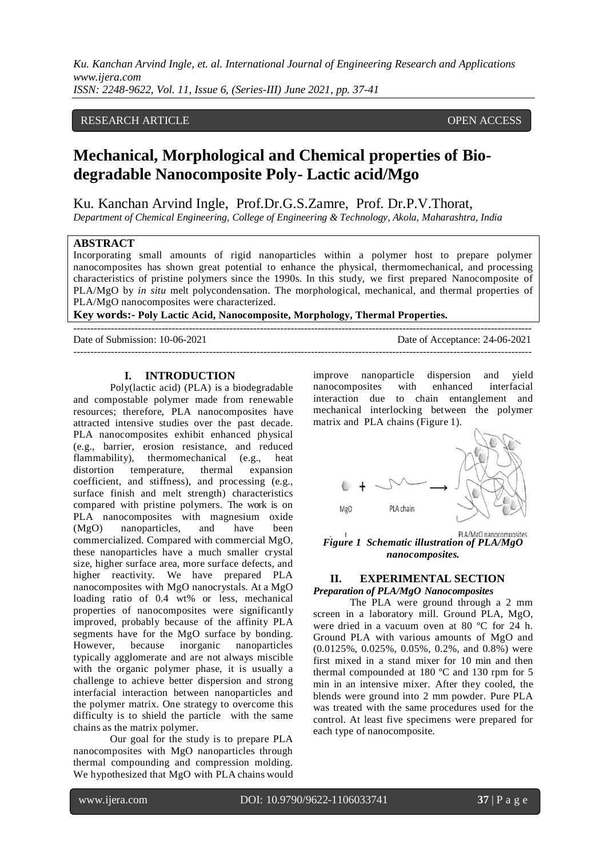# RESEARCH ARTICLE **CONSERVERS** OPEN ACCESS

# **Mechanical, Morphological and Chemical properties of Biodegradable Nanocomposite Poly- Lactic acid/Mgo**

Ku. Kanchan Arvind Ingle, Prof.Dr.G.S.Zamre, Prof. Dr.P.V.Thorat,

*Department of Chemical Engineering, College of Engineering & Technology, Akola, Maharashtra, India*

# **ABSTRACT**

Incorporating small amounts of rigid nanoparticles within a polymer host to prepare polymer nanocomposites has shown great potential to enhance the physical, thermomechanical, and processing characteristics of pristine polymers since the 1990s. In this study, we first prepared Nanocomposite of PLA/MgO by *in situ* melt polycondensation. The morphological, mechanical, and thermal properties of PLA/MgO nanocomposites were characterized.

**Key words:- Poly Lactic Acid, Nanocomposite, Morphology, Thermal Properties.**

--------------------------------------------------------------------------------------------------------------------------------------- Date of Submission: 10-06-2021 Date of Acceptance: 24-06-2021

# **I. INTRODUCTION**

Poly(lactic acid) (PLA) is a biodegradable and compostable polymer made from renewable resources; therefore, PLA nanocomposites have attracted intensive studies over the past decade. PLA nanocomposites exhibit enhanced physical (e.g., barrier, erosion resistance, and reduced flammability), thermomechanical (e.g., heat distortion temperature, thermal expansion coefficient, and stiffness), and processing (e.g., surface finish and melt strength) characteristics compared with pristine polymers. The work is on PLA nanocomposites with magnesium oxide (MgO) nanoparticles, and have been commercialized. Compared with commercial MgO, these nanoparticles have a much smaller crystal size, higher surface area, more surface defects, and higher reactivity. We have prepared PLA nanocomposites with MgO nanocrystals. At a MgO loading ratio of 0.4 wt% or less, mechanical properties of nanocomposites were significantly improved, probably because of the affinity PLA segments have for the MgO surface by bonding. However, because inorganic nanoparticles typically agglomerate and are not always miscible with the organic polymer phase, it is usually a challenge to achieve better dispersion and strong interfacial interaction between nanoparticles and the polymer matrix. One strategy to overcome this difficulty is to shield the particle with the same chains as the matrix polymer.

Our goal for the study is to prepare PLA nanocomposites with MgO nanoparticles through thermal compounding and compression molding. We hypothesized that MgO with PLA chains would improve nanoparticle dispersion and yield nanocomposites with enhanced interfacial interaction due to chain entanglement and mechanical interlocking between the polymer matrix and PLA chains (Figure 1).

---------------------------------------------------------------------------------------------------------------------------------------



PLA/MgO nanocomposites *Figure 1 Schematic illustration of PLA/MgO nanocomposites.*

# **II. EXPERIMENTAL SECTION** *Preparation of PLA/MgO Nanocomposites*

The PLA were ground through a 2 mm screen in a laboratory mill. Ground PLA, MgO, were dried in a vacuum oven at 80 ºC for 24 h. Ground PLA with various amounts of MgO and (0.0125%, 0.025%, 0.05%, 0.2%, and 0.8%) were first mixed in a stand mixer for 10 min and then thermal compounded at 180 ºC and 130 rpm for 5 min in an intensive mixer. After they cooled, the blends were ground into 2 mm powder. Pure PLA was treated with the same procedures used for the control. At least five specimens were prepared for each type of nanocomposite.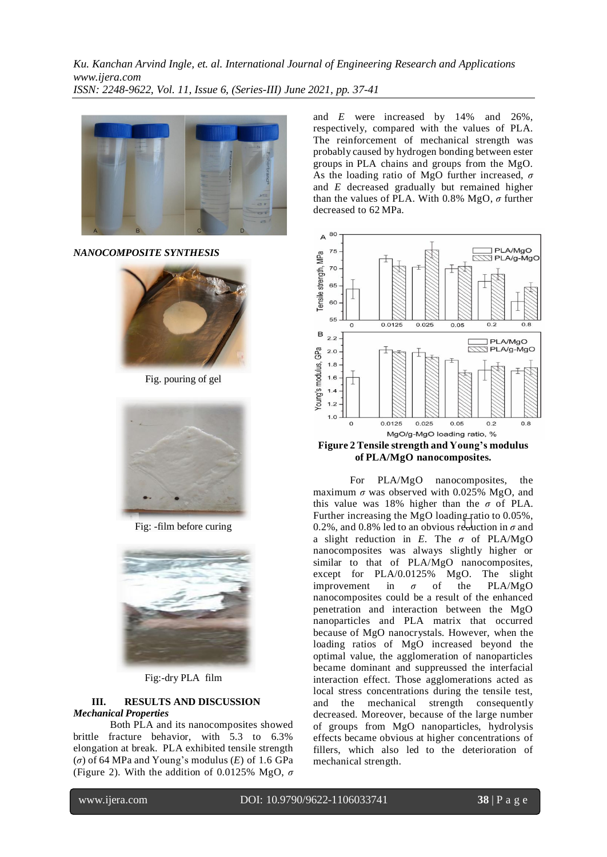

*NANOCOMPOSITE SYNTHESIS*



Fig. pouring of gel



Fig: -film before curing



Fig:-dry PLA film

## **III. RESULTS AND DISCUSSION** *Mechanical Properties*

Both PLA and its nanocomposites showed brittle fracture behavior, with 5.3 to 6.3% elongation at break. PLA exhibited tensile strength (*σ*) of 64 MPa and Young's modulus (*E*) of 1.6 GPa (Figure 2). With the addition of 0.0125% MgO, *σ* and *E* were increased by 14% and 26%, respectively, compared with the values of PLA. The reinforcement of mechanical strength was probably caused by hydrogen bonding between ester groups in PLA chains and groups from the MgO. As the loading ratio of MgO further increased, *σ*  and *E* decreased gradually but remained higher than the values of PLA. With 0.8% MgO, *σ* further decreased to 62 MPa.



**Figure 2 Tensile strength and Young's modulus of PLA/MgO nanocomposites.**

For PLA/MgO nanocomposites, the maximum  $\sigma$  was observed with 0.025% MgO, and this value was 18% higher than the  $\sigma$  of PLA. Further increasing the MgO loading ratio to 0.05%, 0.2%, and 0.8% led to an obvious reduction in  $\sigma$  and a slight reduction in *E*. The *σ* of PLA/MgO nanocomposites was always slightly higher or similar to that of PLA/MgO nanocomposites, except for PLA/0.0125% MgO. The slight improvement in  $\sigma$  of the PLA/MgO nanocomposites could be a result of the enhanced penetration and interaction between the MgO nanoparticles and PLA matrix that occurred because of MgO nanocrystals. However, when the loading ratios of MgO increased beyond the optimal value, the agglomeration of nanoparticles became dominant and suppreussed the interfacial interaction effect. Those agglomerations acted as local stress concentrations during the tensile test, and the mechanical strength consequently decreased. Moreover, because of the large number of groups from MgO nanoparticles, hydrolysis effects became obvious at higher concentrations of fillers, which also led to the deterioration of mechanical strength.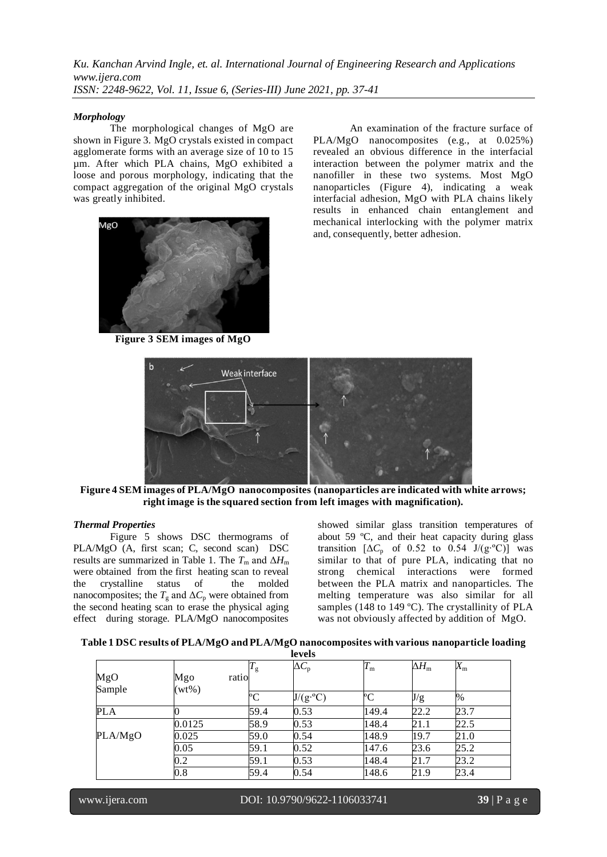### *Morphology*

The morphological changes of MgO are shown in Figure 3. MgO crystals existed in compact agglomerate forms with an average size of 10 to 15 µm. After which PLA chains, MgO exhibited a loose and porous morphology, indicating that the compact aggregation of the original MgO crystals was greatly inhibited.



An examination of the fracture surface of PLA/MgO nanocomposites (e.g., at 0.025%) revealed an obvious difference in the interfacial interaction between the polymer matrix and the nanofiller in these two systems. Most MgO nanoparticles (Figure 4), indicating a weak interfacial adhesion, MgO with PLA chains likely results in enhanced chain entanglement and mechanical interlocking with the polymer matrix and, consequently, better adhesion.

**Figure 3 SEM images of MgO**



**Figure 4 SEM images of PLA/MgO nanocomposites (nanoparticles are indicated with white arrows; right image is the squared section from left images with magnification).**

#### *Thermal Properties*

Figure 5 shows DSC thermograms of PLA/MgO (A, first scan; C, second scan) DSC results are summarized in Table 1. The  $T_{\text{m}}$  and  $\Delta H_{\text{m}}$ were obtained from the first heating scan to reveal<br>the crystalline status of the molded the crystalline status of nanocomposites; the  $T_g$  and  $\Delta C_p$  were obtained from the second heating scan to erase the physical aging effect during storage. PLA/MgO nanocomposites

showed similar glass transition temperatures of about 59 ºC, and their heat capacity during glass transition  $[\Delta C_p$  of 0.52 to 0.54 J/(g⋅°C)] was similar to that of pure PLA, indicating that no strong chemical interactions were formed between the PLA matrix and nanoparticles. The melting temperature was also similar for all samples (148 to 149 °C). The crystallinity of PLA was not obviously affected by addition of MgO.

| levels        |                 |                      |                         |             |                    |             |  |  |
|---------------|-----------------|----------------------|-------------------------|-------------|--------------------|-------------|--|--|
| MgO<br>Sample | Mgo<br>$(wt\%)$ | $T_{\rm g}$<br>ratio | $\Delta C_{\rm p}$      | $T_{\rm m}$ | $\Delta H_{\rm m}$ | $X_{\rm m}$ |  |  |
|               |                 | °C                   | $J/(g \cdot ^{\circ}C)$ | $\rm ^{o}C$ | J/g                | %           |  |  |
| <b>PLA</b>    |                 | 59.4                 | 0.53                    | 149.4       | 22.2               | 23.7        |  |  |
|               | 0.0125          | 58.9                 | 0.53                    | 148.4       | 21.1               | 22.5        |  |  |
| PLA/MgO       | 0.025           | 59.0                 | 0.54                    | 148.9       | 19.7               | 21.0        |  |  |
|               | 0.05            | 59.1                 | 0.52                    | 147.6       | 23.6               | 25.2        |  |  |
|               | 0.2             | 59.1                 | 0.53                    | 148.4       | 21.7               | 23.2        |  |  |
|               | 0.8             | 59.4                 | 0.54                    | 148.6       | 21.9               | 23.4        |  |  |

|  |  | Table 1 DSC results of PLA/MgO and PLA/MgO nanocomposites with various nanoparticle loading |
|--|--|---------------------------------------------------------------------------------------------|
|  |  |                                                                                             |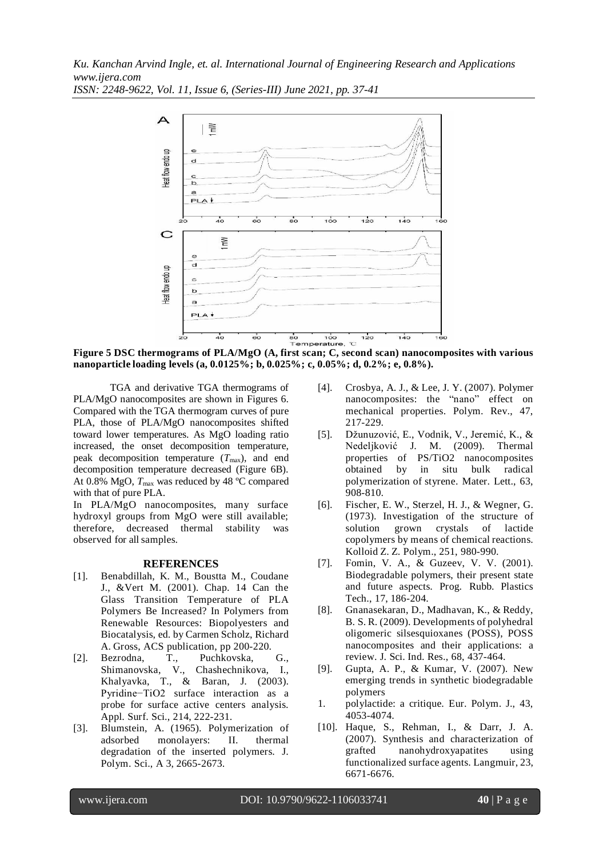

**Figure 5 DSC thermograms of PLA/MgO (A, first scan; C, second scan) nanocomposites with various nanoparticle loading levels (a, 0.0125%; b, 0.025%; c, 0.05%; d, 0.2%; e, 0.8%).**

TGA and derivative TGA thermograms of PLA/MgO nanocomposites are shown in Figures 6. Compared with the TGA thermogram curves of pure PLA, those of PLA/MgO nanocomposites shifted toward lower temperatures. As MgO loading ratio increased, the onset decomposition temperature, peak decomposition temperature ( $T_{\text{max}}$ ), and end decomposition temperature decreased (Figure 6B). At 0.8% MgO,  $T_{\text{max}}$  was reduced by 48 °C compared with that of pure PLA.

In PLA/MgO nanocomposites, many surface hydroxyl groups from MgO were still available; therefore, decreased thermal stability was observed for all samples.

# **REFERENCES**

- [1]. Benabdillah, K. M., Boustta M., Coudane J., &Vert M. (2001). Chap. 14 Can the Glass Transition Temperature of PLA Polymers Be Increased? In Polymers from Renewable Resources: Biopolyesters and Biocatalysis, ed. by Carmen Scholz, Richard A. Gross, ACS publication, pp 200-220.
- [2]. Bezrodna, T., Puchkovska, G., Shimanovska, V., Chashechnikova, I., Khalyavka, T., & Baran, J. (2003). Pyridine−TiO2 surface interaction as a probe for surface active centers analysis. Appl. Surf. Sci., 214, 222-231.
- [3]. Blumstein, A. (1965). Polymerization of adsorbed monolayers: II. thermal degradation of the inserted polymers. J. Polym. Sci., A 3, 2665-2673.
- [4]. Crosbya, A. J., & Lee, J. Y. (2007). Polymer nanocomposites: the "nano" effect on mechanical properties. Polym. Rev., 47, 217-229.
- [5]. Džunuzović, E., Vodnik, V., Jeremić, K., & Nedeljković J. M. (2009). Thermal properties of PS/TiO2 nanocomposites obtained by in situ bulk radical polymerization of styrene. Mater. Lett., 63, 908-810.
- [6]. Fischer, E. W., Sterzel, H. J., & Wegner, G. (1973). Investigation of the structure of solution grown crystals of lactide copolymers by means of chemical reactions. Kolloid Z. Z. Polym., 251, 980-990.
- [7]. Fomin, V. A., & Guzeev, V. V. (2001). Biodegradable polymers, their present state and future aspects. Prog. Rubb. Plastics Tech., 17, 186-204.
- [8]. Gnanasekaran, D., Madhavan, K., & Reddy, B. S. R. (2009). Developments of polyhedral oligomeric silsesquioxanes (POSS), POSS nanocomposites and their applications: a review. J. Sci. Ind. Res., 68, 437-464.
- [9]. Gupta, A. P., & Kumar, V. (2007). New emerging trends in synthetic biodegradable polymers
- 1. polylactide: a critique. Eur. Polym. J., 43, 4053-4074.
- [10]. Haque, S., Rehman, I., & Darr, J. A. (2007). Synthesis and characterization of grafted nanohydroxyapatites using functionalized surface agents. Langmuir, 23, 6671-6676.